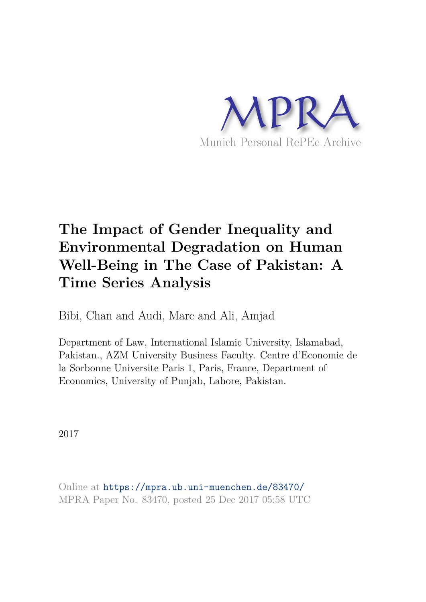

# **The Impact of Gender Inequality and Environmental Degradation on Human Well-Being in The Case of Pakistan: A Time Series Analysis**

Bibi, Chan and Audi, Marc and Ali, Amjad

Department of Law, International Islamic University, Islamabad, Pakistan., AZM University Business Faculty. Centre d'Economie de la Sorbonne Universite Paris 1, Paris, France, Department of Economics, University of Punjab, Lahore, Pakistan.

2017

Online at https://mpra.ub.uni-muenchen.de/83470/ MPRA Paper No. 83470, posted 25 Dec 2017 05:58 UTC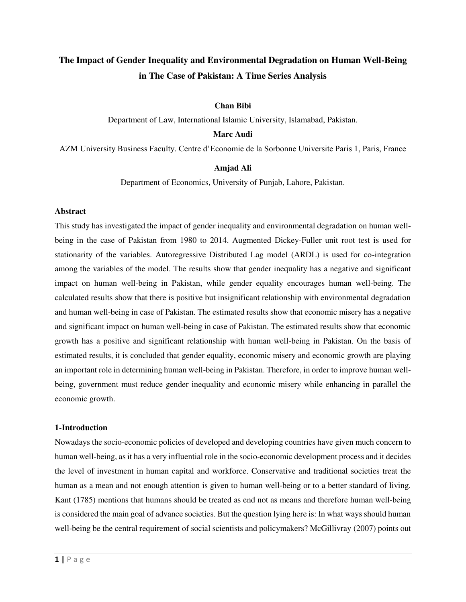# **The Impact of Gender Inequality and Environmental Degradation on Human Well-Being in The Case of Pakistan: A Time Series Analysis**

## **Chan Bibi**

Department of Law, International Islamic University, Islamabad, Pakistan.

#### **Marc Audi**

AZM University Business Faculty. Centre d'Economie de la Sorbonne Universite Paris 1, Paris, France

#### **Amjad Ali**

Department of Economics, University of Punjab, Lahore, Pakistan.

#### **Abstract**

This study has investigated the impact of gender inequality and environmental degradation on human wellbeing in the case of Pakistan from 1980 to 2014. Augmented Dickey-Fuller unit root test is used for stationarity of the variables. Autoregressive Distributed Lag model (ARDL) is used for co-integration among the variables of the model. The results show that gender inequality has a negative and significant impact on human well-being in Pakistan, while gender equality encourages human well-being. The calculated results show that there is positive but insignificant relationship with environmental degradation and human well-being in case of Pakistan. The estimated results show that economic misery has a negative and significant impact on human well-being in case of Pakistan. The estimated results show that economic growth has a positive and significant relationship with human well-being in Pakistan. On the basis of estimated results, it is concluded that gender equality, economic misery and economic growth are playing an important role in determining human well-being in Pakistan. Therefore, in order to improve human wellbeing, government must reduce gender inequality and economic misery while enhancing in parallel the economic growth.

#### **1-Introduction**

Nowadays the socio-economic policies of developed and developing countries have given much concern to human well-being, as it has a very influential role in the socio-economic development process and it decides the level of investment in human capital and workforce. Conservative and traditional societies treat the human as a mean and not enough attention is given to human well-being or to a better standard of living. Kant (1785) mentions that humans should be treated as end not as means and therefore human well-being is considered the main goal of advance societies. But the question lying here is: In what ways should human well-being be the central requirement of social scientists and policymakers? McGillivray (2007) points out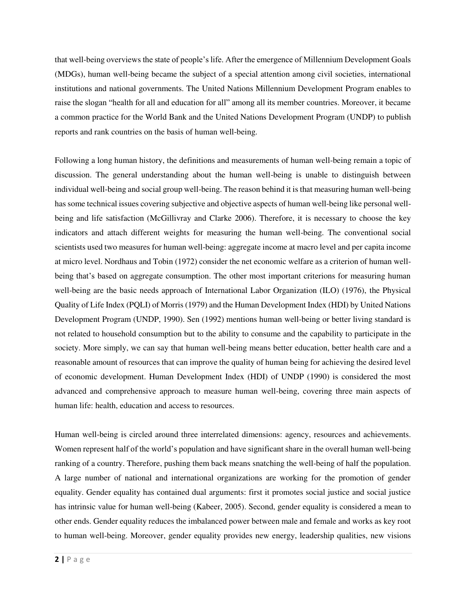that well-being overviews the state of people's life. After the emergence of Millennium Development Goals (MDGs), human well-being became the subject of a special attention among civil societies, international institutions and national governments. The United Nations Millennium Development Program enables to raise the slogan "health for all and education for all" among all its member countries. Moreover, it became a common practice for the World Bank and the United Nations Development Program (UNDP) to publish reports and rank countries on the basis of human well-being.

Following a long human history, the definitions and measurements of human well-being remain a topic of discussion. The general understanding about the human well-being is unable to distinguish between individual well-being and social group well-being. The reason behind it is that measuring human well-being has some technical issues covering subjective and objective aspects of human well-being like personal wellbeing and life satisfaction (McGillivray and Clarke 2006). Therefore, it is necessary to choose the key indicators and attach different weights for measuring the human well-being. The conventional social scientists used two measures for human well-being: aggregate income at macro level and per capita income at micro level. Nordhaus and Tobin (1972) consider the net economic welfare as a criterion of human wellbeing that's based on aggregate consumption. The other most important criterions for measuring human well-being are the basic needs approach of International Labor Organization (ILO) (1976), the Physical Quality of Life Index (PQLI) of Morris (1979) and the Human Development Index (HDI) by United Nations Development Program (UNDP, 1990). Sen (1992) mentions human well-being or better living standard is not related to household consumption but to the ability to consume and the capability to participate in the society. More simply, we can say that human well-being means better education, better health care and a reasonable amount of resources that can improve the quality of human being for achieving the desired level of economic development. Human Development Index (HDI) of UNDP (1990) is considered the most advanced and comprehensive approach to measure human well-being, covering three main aspects of human life: health, education and access to resources.

Human well-being is circled around three interrelated dimensions: agency, resources and achievements. Women represent half of the world's population and have significant share in the overall human well-being ranking of a country. Therefore, pushing them back means snatching the well-being of half the population. A large number of national and international organizations are working for the promotion of gender equality. Gender equality has contained dual arguments: first it promotes social justice and social justice has intrinsic value for human well-being (Kabeer, 2005). Second, gender equality is considered a mean to other ends. Gender equality reduces the imbalanced power between male and female and works as key root to human well-being. Moreover, gender equality provides new energy, leadership qualities, new visions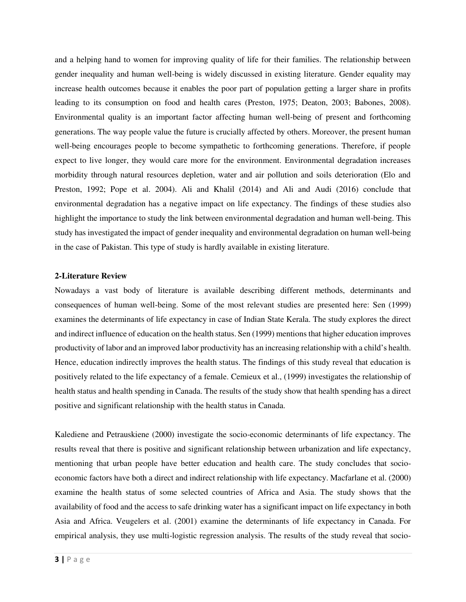and a helping hand to women for improving quality of life for their families. The relationship between gender inequality and human well-being is widely discussed in existing literature. Gender equality may increase health outcomes because it enables the poor part of population getting a larger share in profits leading to its consumption on food and health cares (Preston, 1975; Deaton, 2003; Babones, 2008). Environmental quality is an important factor affecting human well-being of present and forthcoming generations. The way people value the future is crucially affected by others. Moreover, the present human well-being encourages people to become sympathetic to forthcoming generations. Therefore, if people expect to live longer, they would care more for the environment. Environmental degradation increases morbidity through natural resources depletion, water and air pollution and soils deterioration (Elo and Preston, 1992; Pope et al. 2004). Ali and Khalil (2014) and Ali and Audi (2016) conclude that environmental degradation has a negative impact on life expectancy. The findings of these studies also highlight the importance to study the link between environmental degradation and human well-being. This study has investigated the impact of gender inequality and environmental degradation on human well-being in the case of Pakistan. This type of study is hardly available in existing literature.

## **2-Literature Review**

Nowadays a vast body of literature is available describing different methods, determinants and consequences of human well-being. Some of the most relevant studies are presented here: Sen (1999) examines the determinants of life expectancy in case of Indian State Kerala. The study explores the direct and indirect influence of education on the health status. Sen (1999) mentions that higher education improves productivity of labor and an improved labor productivity has an increasing relationship with a child's health. Hence, education indirectly improves the health status. The findings of this study reveal that education is positively related to the life expectancy of a female. Cemieux et al., (1999) investigates the relationship of health status and health spending in Canada. The results of the study show that health spending has a direct positive and significant relationship with the health status in Canada.

Kalediene and Petrauskiene (2000) investigate the socio-economic determinants of life expectancy. The results reveal that there is positive and significant relationship between urbanization and life expectancy, mentioning that urban people have better education and health care. The study concludes that socioeconomic factors have both a direct and indirect relationship with life expectancy. Macfarlane et al. (2000) examine the health status of some selected countries of Africa and Asia. The study shows that the availability of food and the access to safe drinking water has a significant impact on life expectancy in both Asia and Africa. Veugelers et al. (2001) examine the determinants of life expectancy in Canada. For empirical analysis, they use multi-logistic regression analysis. The results of the study reveal that socio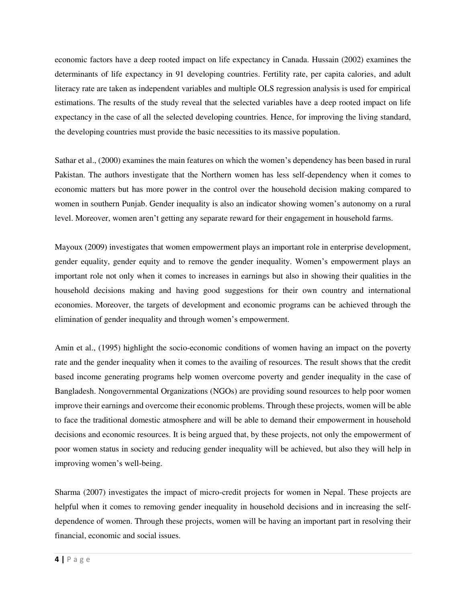economic factors have a deep rooted impact on life expectancy in Canada. Hussain (2002) examines the determinants of life expectancy in 91 developing countries. Fertility rate, per capita calories, and adult literacy rate are taken as independent variables and multiple OLS regression analysis is used for empirical estimations. The results of the study reveal that the selected variables have a deep rooted impact on life expectancy in the case of all the selected developing countries. Hence, for improving the living standard, the developing countries must provide the basic necessities to its massive population.

Sathar et al., (2000) examines the main features on which the women's dependency has been based in rural Pakistan. The authors investigate that the Northern women has less self-dependency when it comes to economic matters but has more power in the control over the household decision making compared to women in southern Punjab. Gender inequality is also an indicator showing women's autonomy on a rural level. Moreover, women aren't getting any separate reward for their engagement in household farms.

Mayoux (2009) investigates that women empowerment plays an important role in enterprise development, gender equality, gender equity and to remove the gender inequality. Women's empowerment plays an important role not only when it comes to increases in earnings but also in showing their qualities in the household decisions making and having good suggestions for their own country and international economies. Moreover, the targets of development and economic programs can be achieved through the elimination of gender inequality and through women's empowerment.

Amin et al., (1995) highlight the socio-economic conditions of women having an impact on the poverty rate and the gender inequality when it comes to the availing of resources. The result shows that the credit based income generating programs help women overcome poverty and gender inequality in the case of Bangladesh. Nongovernmental Organizations (NGOs) are providing sound resources to help poor women improve their earnings and overcome their economic problems. Through these projects, women will be able to face the traditional domestic atmosphere and will be able to demand their empowerment in household decisions and economic resources. It is being argued that, by these projects, not only the empowerment of poor women status in society and reducing gender inequality will be achieved, but also they will help in improving women's well-being.

Sharma (2007) investigates the impact of micro-credit projects for women in Nepal. These projects are helpful when it comes to removing gender inequality in household decisions and in increasing the selfdependence of women. Through these projects, women will be having an important part in resolving their financial, economic and social issues.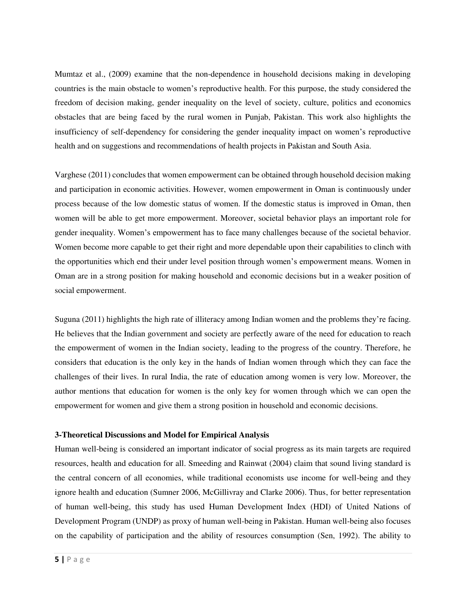Mumtaz et al., (2009) examine that the non-dependence in household decisions making in developing countries is the main obstacle to women's reproductive health. For this purpose, the study considered the freedom of decision making, gender inequality on the level of society, culture, politics and economics obstacles that are being faced by the rural women in Punjab, Pakistan. This work also highlights the insufficiency of self-dependency for considering the gender inequality impact on women's reproductive health and on suggestions and recommendations of health projects in Pakistan and South Asia.

Varghese (2011) concludes that women empowerment can be obtained through household decision making and participation in economic activities. However, women empowerment in Oman is continuously under process because of the low domestic status of women. If the domestic status is improved in Oman, then women will be able to get more empowerment. Moreover, societal behavior plays an important role for gender inequality. Women's empowerment has to face many challenges because of the societal behavior. Women become more capable to get their right and more dependable upon their capabilities to clinch with the opportunities which end their under level position through women's empowerment means. Women in Oman are in a strong position for making household and economic decisions but in a weaker position of social empowerment.

Suguna (2011) highlights the high rate of illiteracy among Indian women and the problems they're facing. He believes that the Indian government and society are perfectly aware of the need for education to reach the empowerment of women in the Indian society, leading to the progress of the country. Therefore, he considers that education is the only key in the hands of Indian women through which they can face the challenges of their lives. In rural India, the rate of education among women is very low. Moreover, the author mentions that education for women is the only key for women through which we can open the empowerment for women and give them a strong position in household and economic decisions.

# **3-Theoretical Discussions and Model for Empirical Analysis**

Human well-being is considered an important indicator of social progress as its main targets are required resources, health and education for all. Smeeding and Rainwat (2004) claim that sound living standard is the central concern of all economies, while traditional economists use income for well-being and they ignore health and education (Sumner 2006, McGillivray and Clarke 2006). Thus, for better representation of human well-being, this study has used Human Development Index (HDI) of United Nations of Development Program (UNDP) as proxy of human well-being in Pakistan. Human well-being also focuses on the capability of participation and the ability of resources consumption (Sen, 1992). The ability to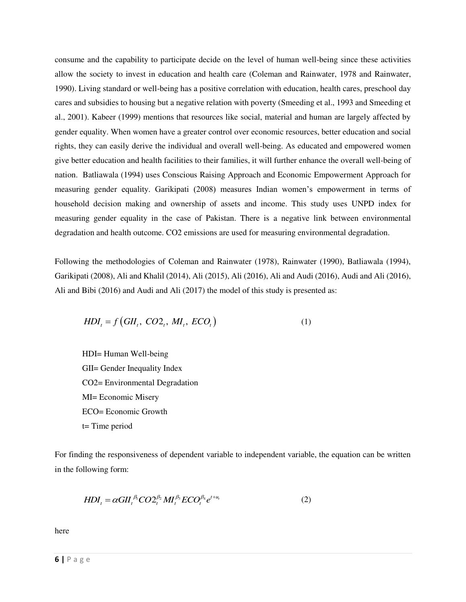consume and the capability to participate decide on the level of human well-being since these activities allow the society to invest in education and health care (Coleman and Rainwater, 1978 and Rainwater, 1990). Living standard or well-being has a positive correlation with education, health cares, preschool day cares and subsidies to housing but a negative relation with poverty (Smeeding et al., 1993 and Smeeding et al., 2001). Kabeer (1999) mentions that resources like social, material and human are largely affected by gender equality. When women have a greater control over economic resources, better education and social rights, they can easily derive the individual and overall well-being. As educated and empowered women give better education and health facilities to their families, it will further enhance the overall well-being of nation. Batliawala (1994) uses Conscious Raising Approach and Economic Empowerment Approach for measuring gender equality. Garikipati (2008) measures Indian women's empowerment in terms of household decision making and ownership of assets and income. This study uses UNPD index for measuring gender equality in the case of Pakistan. There is a negative link between environmental degradation and health outcome. CO2 emissions are used for measuring environmental degradation.

Following the methodologies of Coleman and Rainwater (1978), Rainwater (1990), Batliawala (1994), Garikipati (2008), Ali and Khalil (2014), Ali (2015), Ali (2016), Ali and Audi (2016), Audi and Ali (2016), Ali and Bibi (2016) and Audi and Ali (2017) the model of this study is presented as:

$$
HDI_t = f\left(GII_t, CO2_t, MI_t, ECO_t\right) \tag{1}
$$

HDI= Human Well-being GII= Gender Inequality Index CO2= Environmental Degradation MI= Economic Misery ECO= Economic Growth t= Time period

For finding the responsiveness of dependent variable to independent variable, the equation can be written in the following form:

$$
HDI_t = \alpha GII_t^{\beta_1} CO2_t^{\beta_2} MI_t^{\beta_3} ECO_t^{\beta_4} e^{t+u_t}
$$
\n
$$
\tag{2}
$$

here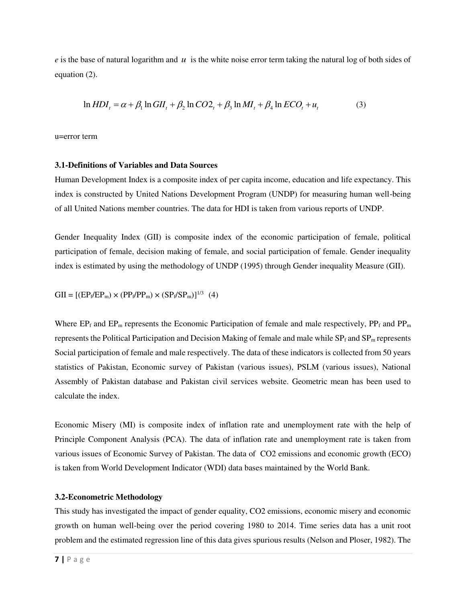*e* is the base of natural logarithm and *u* is the white noise error term taking the natural log of both sides of equation (2).

$$
\ln HDI_t = \alpha + \beta_1 \ln GII_t + \beta_2 \ln CO2_t + \beta_3 \ln MI_t + \beta_4 \ln ECO_t + u_t
$$
\n(3)

u=error term

# **3.1-Definitions of Variables and Data Sources**

Human Development Index is a composite index of per capita income, education and life expectancy. This index is constructed by United Nations Development Program (UNDP) for measuring human well-being of all United Nations member countries. The data for HDI is taken from various reports of UNDP.

Gender Inequality Index (GII) is composite index of the economic participation of female, political participation of female, decision making of female, and social participation of female. Gender inequality index is estimated by using the methodology of UNDP (1995) through Gender inequality Measure (GII).

 $GII = [(EP_f/EP_m) \times (PP_f/PP_m) \times (SP_f/SP_m)]^{1/3}$  (4)

Where  $EP_f$  and  $EP_m$  represents the Economic Participation of female and male respectively,  $PP_f$  and  $PP_m$ represents the Political Participation and Decision Making of female and male while  $SP_f$  and  $SP_m$  represents Social participation of female and male respectively. The data of these indicators is collected from 50 years statistics of Pakistan, Economic survey of Pakistan (various issues), PSLM (various issues), National Assembly of Pakistan database and Pakistan civil services website. Geometric mean has been used to calculate the index.

Economic Misery (MI) is composite index of inflation rate and unemployment rate with the help of Principle Component Analysis (PCA). The data of inflation rate and unemployment rate is taken from various issues of Economic Survey of Pakistan. The data of CO2 emissions and economic growth (ECO) is taken from World Development Indicator (WDI) data bases maintained by the World Bank.

#### **3.2-Econometric Methodology**

This study has investigated the impact of gender equality, CO2 emissions, economic misery and economic growth on human well-being over the period covering 1980 to 2014. Time series data has a unit root problem and the estimated regression line of this data gives spurious results (Nelson and Ploser, 1982). The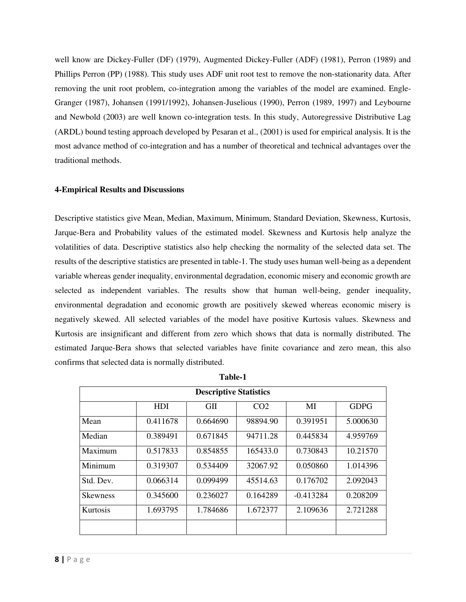well know are Dickey-Fuller (DF) (1979), Augmented Dickey-Fuller (ADF) (1981), Perron (1989) and Phillips Perron (PP) (1988). This study uses ADF unit root test to remove the non-stationarity data. After removing the unit root problem, co-integration among the variables of the model are examined. Engle-Granger (1987), Johansen (1991/1992), Johansen-Juselious (1990), Perron (1989, 1997) and Leybourne and Newbold (2003) are well known co-integration tests. In this study, Autoregressive Distributive Lag (ARDL) bound testing approach developed by Pesaran et al., (2001) is used for empirical analysis. It is the most advance method of co-integration and has a number of theoretical and technical advantages over the traditional methods.

# **4-Empirical Results and Discussions**

Descriptive statistics give Mean, Median, Maximum, Minimum, Standard Deviation, Skewness, Kurtosis, Jarque-Bera and Probability values of the estimated model. Skewness and Kurtosis help analyze the volatilities of data. Descriptive statistics also help checking the normality of the selected data set. The results of the descriptive statistics are presented in table-1. The study uses human well-being as a dependent variable whereas gender inequality, environmental degradation, economic misery and economic growth are selected as independent variables. The results show that human well-being, gender inequality, environmental degradation and economic growth are positively skewed whereas economic misery is negatively skewed. All selected variables of the model have positive Kurtosis values. Skewness and Kurtosis are insignificant and different from zero which shows that data is normally distributed. The estimated Jarque-Bera shows that selected variables have finite covariance and zero mean, this also confirms that selected data is normally distributed.

| <b>Descriptive Statistics</b> |            |            |                 |             |             |
|-------------------------------|------------|------------|-----------------|-------------|-------------|
|                               | <b>HDI</b> | <b>GII</b> | CO <sub>2</sub> | MI          | <b>GDPG</b> |
| Mean                          | 0.411678   | 0.664690   | 98894.90        | 0.391951    | 5.000630    |
| Median                        | 0.389491   | 0.671845   | 94711.28        | 0.445834    | 4.959769    |
| Maximum                       | 0.517833   | 0.854855   | 165433.0        | 0.730843    | 10.21570    |
| Minimum                       | 0.319307   | 0.534409   | 32067.92        | 0.050860    | 1.014396    |
| Std. Dev.                     | 0.066314   | 0.099499   | 45514.63        | 0.176702    | 2.092043    |
| <b>Skewness</b>               | 0.345600   | 0.236027   | 0.164289        | $-0.413284$ | 0.208209    |
| Kurtosis                      | 1.693795   | 1.784686   | 1.672377        | 2.109636    | 2.721288    |
|                               |            |            |                 |             |             |

| . . |  |
|-----|--|
|     |  |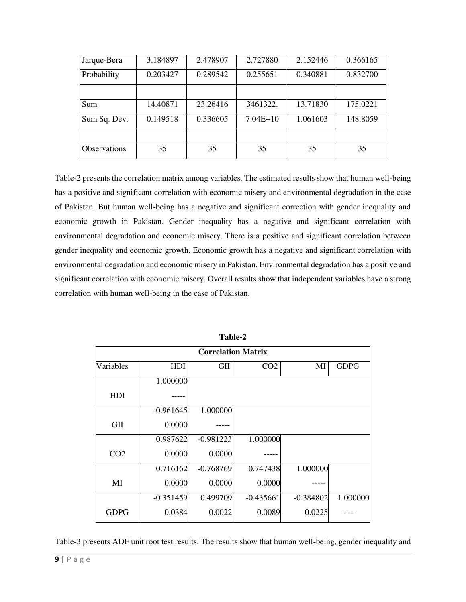| Jarque-Bera         | 3.184897 | 2.478907 | 2.727880   | 2.152446 | 0.366165 |
|---------------------|----------|----------|------------|----------|----------|
| Probability         | 0.203427 | 0.289542 | 0.255651   | 0.340881 | 0.832700 |
|                     |          |          |            |          |          |
| Sum                 | 14.40871 | 23.26416 | 3461322.   | 13.71830 | 175.0221 |
| Sum Sq. Dev.        | 0.149518 | 0.336605 | $7.04E+10$ | 1.061603 | 148.8059 |
|                     |          |          |            |          |          |
| <b>Observations</b> | 35       | 35       | 35         | 35       | 35       |

Table-2 presents the correlation matrix among variables. The estimated results show that human well-being has a positive and significant correlation with economic misery and environmental degradation in the case of Pakistan. But human well-being has a negative and significant correction with gender inequality and economic growth in Pakistan. Gender inequality has a negative and significant correlation with environmental degradation and economic misery. There is a positive and significant correlation between gender inequality and economic growth. Economic growth has a negative and significant correlation with environmental degradation and economic misery in Pakistan. Environmental degradation has a positive and significant correlation with economic misery. Overall results show that independent variables have a strong correlation with human well-being in the case of Pakistan.

| <b>Correlation Matrix</b> |             |             |                 |             |             |
|---------------------------|-------------|-------------|-----------------|-------------|-------------|
| Variables                 | <b>HDI</b>  | <b>GII</b>  | CO <sub>2</sub> | MI          | <b>GDPG</b> |
|                           | 1.000000    |             |                 |             |             |
| <b>HDI</b>                |             |             |                 |             |             |
|                           | $-0.961645$ | 1.000000    |                 |             |             |
| GII                       | 0.0000      |             |                 |             |             |
|                           | 0.987622    | $-0.981223$ | 1.000000        |             |             |
| CO <sub>2</sub>           | 0.0000      | 0.0000      |                 |             |             |
|                           | 0.716162    | $-0.768769$ | 0.747438        | 1.000000    |             |
| MI                        | 0.0000      | 0.0000      | 0.0000          |             |             |
|                           | $-0.351459$ | 0.499709    | $-0.435661$     | $-0.384802$ | 1.000000    |
| <b>GDPG</b>               | 0.0384      | 0.0022      | 0.0089          | 0.0225      |             |

**Table-2** 

Table-3 presents ADF unit root test results. The results show that human well-being, gender inequality and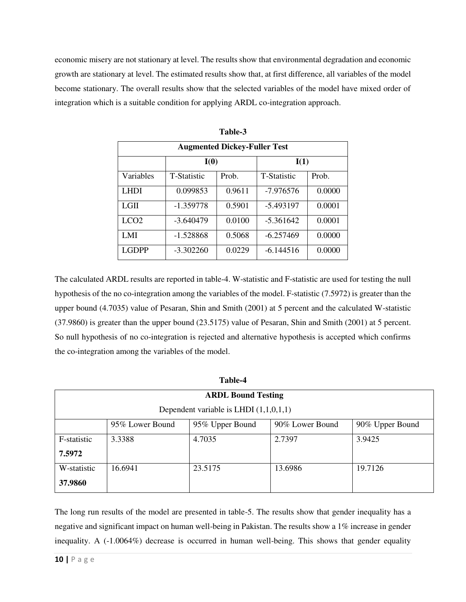economic misery are not stationary at level. The results show that environmental degradation and economic growth are stationary at level. The estimated results show that, at first difference, all variables of the model become stationary. The overall results show that the selected variables of the model have mixed order of integration which is a suitable condition for applying ARDL co-integration approach.

| <b>Augmented Dickey-Fuller Test</b> |                    |        |                    |        |
|-------------------------------------|--------------------|--------|--------------------|--------|
|                                     | I(0)               |        | I(1)               |        |
| <b>Variables</b>                    | <b>T-Statistic</b> | Prob.  | <b>T-Statistic</b> | Prob.  |
| <b>LHDI</b>                         | 0.099853           | 0.9611 | -7.976576          | 0.0000 |
| LGII                                | $-1.359778$        | 0.5901 | $-5.493197$        | 0.0001 |
| LC <sub>O2</sub>                    | $-3.640479$        | 0.0100 | $-5.361642$        | 0.0001 |
| LMI                                 | $-1.528868$        | 0.5068 | $-6.257469$        | 0.0000 |
| <b>LGDPP</b>                        | $-3.302260$        | 0.0229 | $-6.144516$        | 0.0000 |

**Table-3** 

The calculated ARDL results are reported in table-4. W-statistic and F-statistic are used for testing the null hypothesis of the no co-integration among the variables of the model. F-statistic (7.5972) is greater than the upper bound (4.7035) value of Pesaran, Shin and Smith (2001) at 5 percent and the calculated W-statistic (37.9860) is greater than the upper bound (23.5175) value of Pesaran, Shin and Smith (2001) at 5 percent. So null hypothesis of no co-integration is rejected and alternative hypothesis is accepted which confirms the co-integration among the variables of the model.

| Table-4     |                                          |                           |                 |                 |  |
|-------------|------------------------------------------|---------------------------|-----------------|-----------------|--|
|             |                                          | <b>ARDL Bound Testing</b> |                 |                 |  |
|             | Dependent variable is LHDI $(1,1,0,1,1)$ |                           |                 |                 |  |
|             | 95% Lower Bound                          | 95% Upper Bound           | 90% Lower Bound | 90% Upper Bound |  |
| F-statistic | 3.3388                                   | 4.7035                    | 2.7397          | 3.9425          |  |
| 7.5972      |                                          |                           |                 |                 |  |
| W-statistic | 16.6941                                  | 23.5175                   | 13.6986         | 19.7126         |  |
| 37.9860     |                                          |                           |                 |                 |  |

The long run results of the model are presented in table-5. The results show that gender inequality has a negative and significant impact on human well-being in Pakistan. The results show a 1% increase in gender inequality. A (-1.0064%) decrease is occurred in human well-being. This shows that gender equality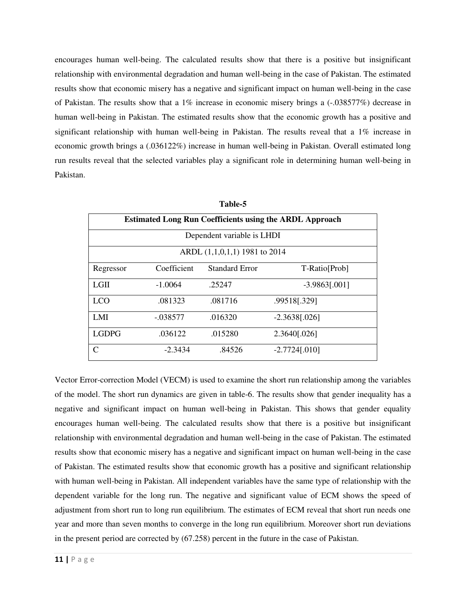encourages human well-being. The calculated results show that there is a positive but insignificant relationship with environmental degradation and human well-being in the case of Pakistan. The estimated results show that economic misery has a negative and significant impact on human well-being in the case of Pakistan. The results show that a  $1\%$  increase in economic misery brings a  $(-0.038577%)$  decrease in human well-being in Pakistan. The estimated results show that the economic growth has a positive and significant relationship with human well-being in Pakistan. The results reveal that a 1% increase in economic growth brings a (.036122%) increase in human well-being in Pakistan. Overall estimated long run results reveal that the selected variables play a significant role in determining human well-being in Pakistan.

| <b>Estimated Long Run Coefficients using the ARDL Approach</b> |             |                       |                 |  |
|----------------------------------------------------------------|-------------|-----------------------|-----------------|--|
| Dependent variable is LHDI                                     |             |                       |                 |  |
| ARDL (1,1,0,1,1) 1981 to 2014                                  |             |                       |                 |  |
| Regressor                                                      | Coefficient | <b>Standard Error</b> | T-Ratio[Prob]   |  |
| L <sub>GH</sub>                                                | $-1.0064$   | .25247                | $-3.9863[.001]$ |  |
| <b>LCO</b>                                                     | .081323     | .081716               | .99518[.329]    |  |
| LMI                                                            | $-.038577$  | .016320               | $-2.3638[.026]$ |  |
| <b>LGDPG</b>                                                   | .036122     | .015280               | 2.3640[.026]    |  |
| C                                                              | $-2.3434$   | .84526                | $-2.7724[.010]$ |  |

**Table-5** 

Vector Error-correction Model (VECM) is used to examine the short run relationship among the variables of the model. The short run dynamics are given in table-6. The results show that gender inequality has a negative and significant impact on human well-being in Pakistan. This shows that gender equality encourages human well-being. The calculated results show that there is a positive but insignificant relationship with environmental degradation and human well-being in the case of Pakistan. The estimated results show that economic misery has a negative and significant impact on human well-being in the case of Pakistan. The estimated results show that economic growth has a positive and significant relationship with human well-being in Pakistan. All independent variables have the same type of relationship with the dependent variable for the long run. The negative and significant value of ECM shows the speed of adjustment from short run to long run equilibrium. The estimates of ECM reveal that short run needs one year and more than seven months to converge in the long run equilibrium. Moreover short run deviations in the present period are corrected by (67.258) percent in the future in the case of Pakistan.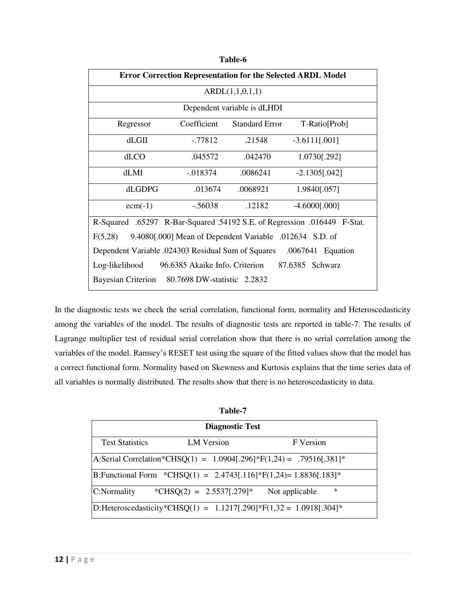| <b>Error Correction Representation for the Selected ARDL Model</b>         |                 |                             |                  |  |  |
|----------------------------------------------------------------------------|-----------------|-----------------------------|------------------|--|--|
|                                                                            | ARDL(1,1,0,1,1) |                             |                  |  |  |
|                                                                            |                 | Dependent variable is dLHDI |                  |  |  |
| Regressor                                                                  | Coefficient     | <b>Standard Error</b>       | T-Ratio[Prob]    |  |  |
| $dLG$ II                                                                   | $-0.77812$      | .21548                      | $-3.6111[.001]$  |  |  |
| d <sub>ACO</sub>                                                           | .045572         | .042470                     | 1.0730[.292]     |  |  |
| dLMI                                                                       | $-0.018374$     | .0086241                    | $-2.1305[.042]$  |  |  |
| dLGDPG                                                                     | .013674         | .0068921                    | 1.9840[.057]     |  |  |
| $ecm(-1)$                                                                  | $-.56038$       | .12182                      | $-4.6000$ [.000] |  |  |
| R-Squared .65297 R-Bar-Squared .54192 S.E. of Regression .016449 F-Stat.   |                 |                             |                  |  |  |
| F(5,28)<br>9.4080[.000] Mean of Dependent Variable .012634 S.D. of         |                 |                             |                  |  |  |
| Dependent Variable .024303 Residual Sum of Squares<br>.0067641<br>Equation |                 |                             |                  |  |  |
| 96.6385 Akaike Info. Criterion<br>87.6385 Schwarz<br>Log-likelihood        |                 |                             |                  |  |  |
| <b>Bayesian Criterion</b><br>80.7698 DW-statistic 2.2832                   |                 |                             |                  |  |  |

**Table-6** 

In the diagnostic tests we check the serial correlation, functional form, normality and Heteroscedasticity among the variables of the model. The results of diagnostic tests are reported in table-7. The results of Lagrange multiplier test of residual serial correlation show that there is no serial correlation among the variables of the model. Ramsey's RESET test using the square of the fitted values show that the model has a correct functional form. Normality based on Skewness and Kurtosis explains that the time series data of all variables is normally distributed. The results show that there is no heteroscedasticity in data.

|                                                                          | Table-7                                                             |                          |  |  |  |
|--------------------------------------------------------------------------|---------------------------------------------------------------------|--------------------------|--|--|--|
|                                                                          | <b>Diagnostic Test</b>                                              |                          |  |  |  |
| <b>Test Statistics</b>                                                   | <b>LM</b> Version                                                   | F Version                |  |  |  |
|                                                                          | A:Serial Correlation*CHSQ(1) = 1.0904[.296]*F(1,24) = .79516[.381]* |                          |  |  |  |
| B: Functional Form $^*CHSQ(1) = 2.4743[.116] * F(1,24) = 1.8836[.183] *$ |                                                                     |                          |  |  |  |
| C:Normality                                                              | *CHSQ(2) = $2.5537[.279]$ *                                         | $\ast$<br>Not applicable |  |  |  |
| D:Heteroscedasticity*CHSQ(1) = 1.1217[.290]*F(1,32 = 1.0918[.304]*       |                                                                     |                          |  |  |  |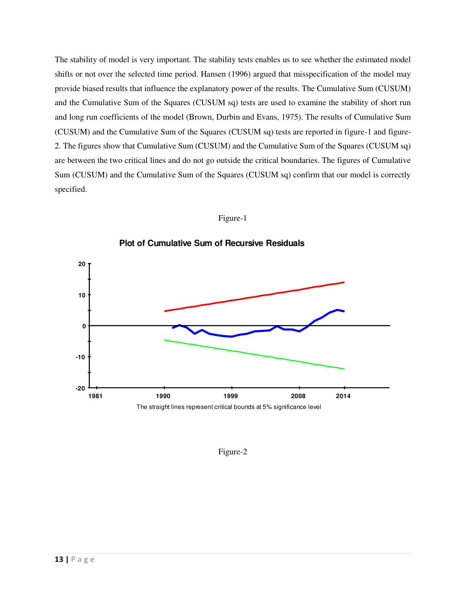The stability of model is very important. The stability tests enables us to see whether the estimated model shifts or not over the selected time period. Hansen (1996) argued that misspecification of the model may provide biased results that influence the explanatory power of the results. The Cumulative Sum (CUSUM) and the Cumulative Sum of the Squares (CUSUM sq) tests are used to examine the stability of short run and long run coefficients of the model (Brown, Durbin and Evans, 1975). The results of Cumulative Sum (CUSUM) and the Cumulative Sum of the Squares (CUSUM sq) tests are reported in figure-1 and figure-2. The figures show that Cumulative Sum (CUSUM) and the Cumulative Sum of the Squares (CUSUM sq) are between the two critical lines and do not go outside the critical boundaries. The figures of Cumulative Sum (CUSUM) and the Cumulative Sum of the Squares (CUSUM sq) confirm that our model is correctly specified.





**Plot of Cumulative Sum of Recursive Residuals**

Figure-2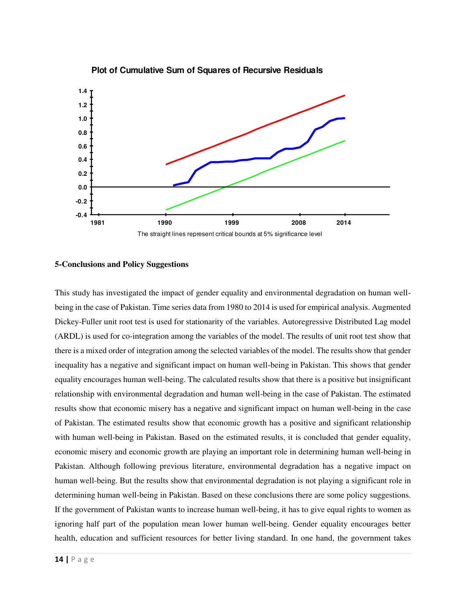

**Plot of Cumulative Sum of Squares of Recursive Residuals**

#### **5-Conclusions and Policy Suggestions**

This study has investigated the impact of gender equality and environmental degradation on human wellbeing in the case of Pakistan. Time series data from 1980 to 2014 is used for empirical analysis. Augmented Dickey-Fuller unit root test is used for stationarity of the variables. Autoregressive Distributed Lag model (ARDL) is used for co-integration among the variables of the model. The results of unit root test show that there is a mixed order of integration among the selected variables of the model. The results show that gender inequality has a negative and significant impact on human well-being in Pakistan. This shows that gender equality encourages human well-being. The calculated results show that there is a positive but insignificant relationship with environmental degradation and human well-being in the case of Pakistan. The estimated results show that economic misery has a negative and significant impact on human well-being in the case of Pakistan. The estimated results show that economic growth has a positive and significant relationship with human well-being in Pakistan. Based on the estimated results, it is concluded that gender equality, economic misery and economic growth are playing an important role in determining human well-being in Pakistan. Although following previous literature, environmental degradation has a negative impact on human well-being. But the results show that environmental degradation is not playing a significant role in determining human well-being in Pakistan. Based on these conclusions there are some policy suggestions. If the government of Pakistan wants to increase human well-being, it has to give equal rights to women as ignoring half part of the population mean lower human well-being. Gender equality encourages better health, education and sufficient resources for better living standard. In one hand, the government takes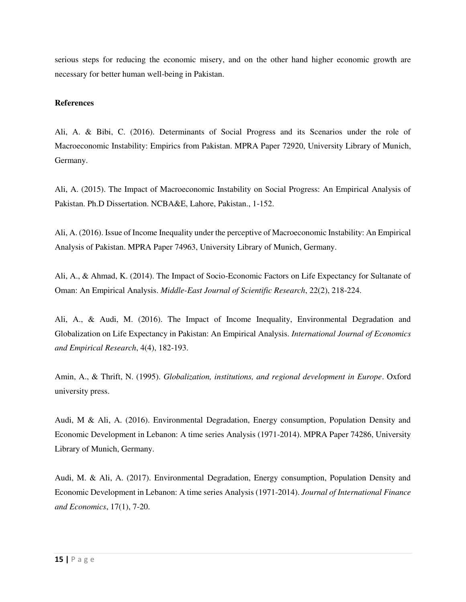serious steps for reducing the economic misery, and on the other hand higher economic growth are necessary for better human well-being in Pakistan.

# **References**

Ali, A. & Bibi, C. (2016). Determinants of Social Progress and its Scenarios under the role of Macroeconomic Instability: Empirics from Pakistan. MPRA Paper 72920, University Library of Munich, Germany.

Ali, A. (2015). The Impact of Macroeconomic Instability on Social Progress: An Empirical Analysis of Pakistan. Ph.D Dissertation. NCBA&E, Lahore, Pakistan., 1-152.

Ali, A. (2016). Issue of Income Inequality under the perceptive of Macroeconomic Instability: An Empirical Analysis of Pakistan. MPRA Paper 74963, University Library of Munich, Germany.

Ali, A., & Ahmad, K. (2014). The Impact of Socio-Economic Factors on Life Expectancy for Sultanate of Oman: An Empirical Analysis. *Middle-East Journal of Scientific Research*, 22(2), 218-224.

Ali, A., & Audi, M. (2016). The Impact of Income Inequality, Environmental Degradation and Globalization on Life Expectancy in Pakistan: An Empirical Analysis. *International Journal of Economics and Empirical Research*, 4(4), 182-193.

Amin, A., & Thrift, N. (1995). *Globalization, institutions, and regional development in Europe*. Oxford university press.

Audi, M & Ali, A. (2016). Environmental Degradation, Energy consumption, Population Density and Economic Development in Lebanon: A time series Analysis (1971-2014). MPRA Paper 74286, University Library of Munich, Germany.

Audi, M. & Ali, A. (2017). Environmental Degradation, Energy consumption, Population Density and Economic Development in Lebanon: A time series Analysis (1971-2014). *Journal of International Finance and Economics*, 17(1), 7-20.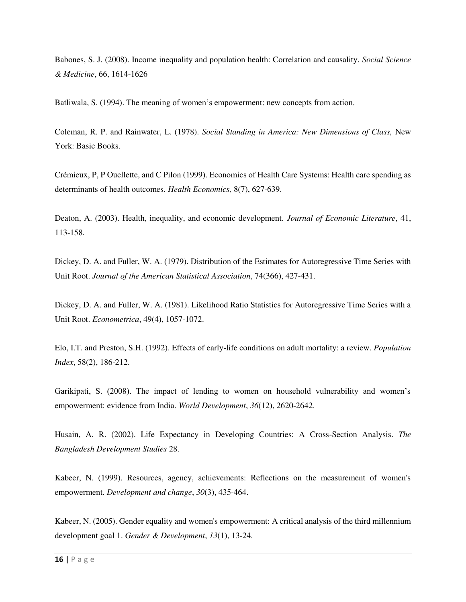Babones, S. J. (2008). Income inequality and population health: Correlation and causality. *Social Science & Medicine*, 66, 1614-1626

Batliwala, S. (1994). The meaning of women's empowerment: new concepts from action.

Coleman, R. P. and Rainwater, L. (1978). *Social Standing in America: New Dimensions of Class,* New York: Basic Books.

Crémieux, P, P Ouellette, and C Pilon (1999). Economics of Health Care Systems: Health care spending as determinants of health outcomes. *Health Economics,* 8(7), 627-639.

Deaton, A. (2003). Health, inequality, and economic development. *Journal of Economic Literature*, 41, 113-158.

Dickey, D. A. and Fuller, W. A. (1979). Distribution of the Estimates for Autoregressive Time Series with Unit Root. *Journal of the American Statistical Association*, 74(366), 427-431.

Dickey, D. A. and Fuller, W. A. (1981). Likelihood Ratio Statistics for Autoregressive Time Series with a Unit Root. *Econometrica*, 49(4), 1057-1072.

Elo, I.T. and Preston, S.H. (1992). Effects of early-life conditions on adult mortality: a review. *Population Index*, 58(2), 186-212.

Garikipati, S. (2008). The impact of lending to women on household vulnerability and women's empowerment: evidence from India. *World Development*, *36*(12), 2620-2642.

Husain, A. R. (2002). Life Expectancy in Developing Countries: A Cross-Section Analysis. *The Bangladesh Development Studies* 28.

Kabeer, N. (1999). Resources, agency, achievements: Reflections on the measurement of women's empowerment. *Development and change*, *30*(3), 435-464.

Kabeer, N. (2005). Gender equality and women's empowerment: A critical analysis of the third millennium development goal 1. *Gender & Development*, *13*(1), 13-24.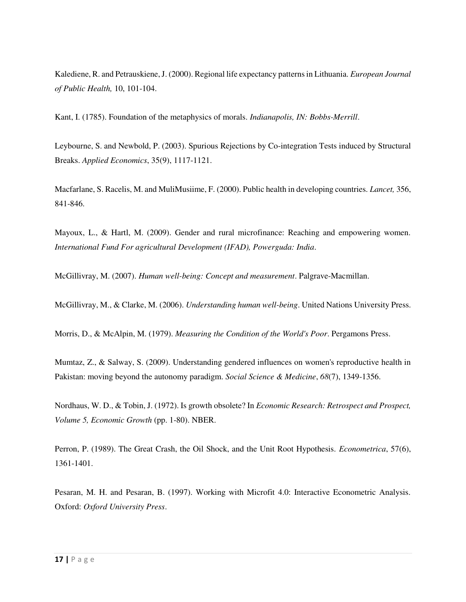Kalediene, R. and Petrauskiene, J. (2000). Regional life expectancy patterns in Lithuania. *European Journal of Public Health,* 10, 101-104.

Kant, I. (1785). Foundation of the metaphysics of morals. *Indianapolis, IN: Bobbs-Merrill*.

Leybourne, S. and Newbold, P. (2003). Spurious Rejections by Co-integration Tests induced by Structural Breaks. *Applied Economics*, 35(9), 1117-1121.

Macfarlane, S. Racelis, M. and MuliMusiime, F. (2000). Public health in developing countries. *Lancet,* 356, 841-846.

Mayoux, L., & Hartl, M. (2009). Gender and rural microfinance: Reaching and empowering women. *International Fund For agricultural Development (IFAD), Powerguda: India*.

McGillivray, M. (2007). *Human well-being: Concept and measurement*. Palgrave-Macmillan.

McGillivray, M., & Clarke, M. (2006). *Understanding human well-being*. United Nations University Press.

Morris, D., & McAlpin, M. (1979). *Measuring the Condition of the World's Poor*. Pergamons Press.

Mumtaz, Z., & Salway, S. (2009). Understanding gendered influences on women's reproductive health in Pakistan: moving beyond the autonomy paradigm. *Social Science & Medicine*, *68*(7), 1349-1356.

Nordhaus, W. D., & Tobin, J. (1972). Is growth obsolete? In *Economic Research: Retrospect and Prospect, Volume 5, Economic Growth* (pp. 1-80). NBER.

Perron, P. (1989). The Great Crash, the Oil Shock, and the Unit Root Hypothesis. *Econometrica*, 57(6), 1361-1401.

Pesaran, M. H. and Pesaran, B. (1997). Working with Microfit 4.0: Interactive Econometric Analysis. Oxford: *Oxford University Press*.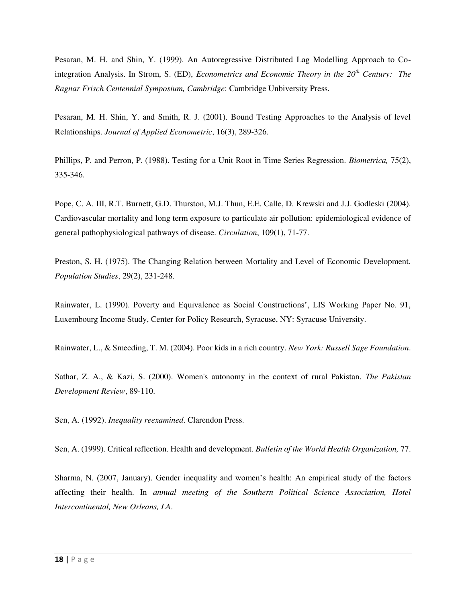Pesaran, M. H. and Shin, Y. (1999). An Autoregressive Distributed Lag Modelling Approach to Cointegration Analysis. In Strom, S. (ED), *Econometrics and Economic Theory in the 20th Century: The Ragnar Frisch Centennial Symposium, Cambridge*: Cambridge Unbiversity Press.

Pesaran, M. H. Shin, Y. and Smith, R. J. (2001). Bound Testing Approaches to the Analysis of level Relationships. *Journal of Applied Econometric*, 16(3), 289-326.

Phillips, P. and Perron, P. (1988). Testing for a Unit Root in Time Series Regression. *Biometrica,* 75(2), 335-346.

Pope, C. A. III, R.T. Burnett, G.D. Thurston, M.J. Thun, E.E. Calle, D. Krewski and J.J. Godleski (2004). Cardiovascular mortality and long term exposure to particulate air pollution: epidemiological evidence of general pathophysiological pathways of disease. *Circulation*, 109(1), 71-77.

Preston, S. H. (1975). The Changing Relation between Mortality and Level of Economic Development. *Population Studies*, 29(2), 231-248.

Rainwater, L. (1990). Poverty and Equivalence as Social Constructions', LIS Working Paper No. 91, Luxembourg Income Study, Center for Policy Research, Syracuse, NY: Syracuse University.

Rainwater, L., & Smeeding, T. M. (2004). Poor kids in a rich country. *New York: Russell Sage Foundation*.

Sathar, Z. A., & Kazi, S. (2000). Women's autonomy in the context of rural Pakistan. *The Pakistan Development Review*, 89-110.

Sen, A. (1992). *Inequality reexamined*. Clarendon Press.

Sen, A. (1999). Critical reflection. Health and development. *Bulletin of the World Health Organization,* 77.

Sharma, N. (2007, January). Gender inequality and women's health: An empirical study of the factors affecting their health. In *annual meeting of the Southern Political Science Association, Hotel Intercontinental, New Orleans, LA*.